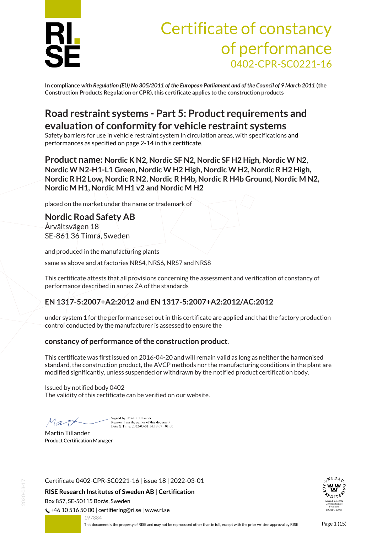

## Certificate of constancy of performance 0402-CPR-SC0221-16

**In compliance** *with Regulation (EU) No 305/2011 of the European Parliament and of the Council of 9 March 2011* **(the Construction Products Regulation or CPR), this certificate applies to the construction products**

### **Road restraint systems - Part 5: Product requirements and evaluation of conformity for vehicle restraint systems**

Safety barriers for use in vehicle restraint system in circulation areas, with specifications and performances as specified on page 2-14 in this certificate.

**Product name: Nordic K N2, Nordic SF N2, Nordic SF H2 High, Nordic W N2, Nordic W N2-H1-L1 Green, Nordic W H2 High, Nordic W H2, Nordic R H2 High, Nordic R H2 Low, Nordic R N2, Nordic R H4b, Nordic R H4b Ground, Nordic M N2, Nordic M H1, Nordic M H1 v2 and Nordic M H2**

placed on the market under the name or trademark of

**Nordic Road Safety AB** Årvältsvägen 18 SE-861 36 Timrå, Sweden

and produced in the manufacturing plants same as above and at factories NRS4, NRS6, NRS7 and NRS8

This certificate attests that all provisions concerning the assessment and verification of constancy of performance described in annex ZA of the standards

#### **EN 1317-5:2007+A2:2012 and EN 1317-5:2007+A2:2012/AC:2012**

under system 1 for the performance set out in this certificate are applied and that the factory production control conducted by the manufacturer is assessed to ensure the

#### **constancy of performance of the construction product**.

This certificate was first issued on 2016-04-20 and will remain valid as long as neither the harmonised standard, the construction product, the AVCP methods nor the manufacturing conditions in the plant are modified significantly, unless suspended or withdrawn by the notified product certification body.

Issued by notified body 0402 The validity of this certificate can be verified on our website.

Mar

Signed by: Martin Tillander Reason: I am the author of this document<br>Date & Time:  $2022-03-0114:19:07+01:00$ 

Martin Tillander Product Certification Manager

Certificate 0402-CPR-SC0221-16 | issue 18 | 2022-03-01

**RISE Research Institutes of Sweden AB | Certification** Box 857, SE-50115 Borås, Sweden

 $\binom{1}{2}$  +46 10 516 50 00 | certifiering@ri.se | www.ri.se

197884

<span id="page-0-0"></span>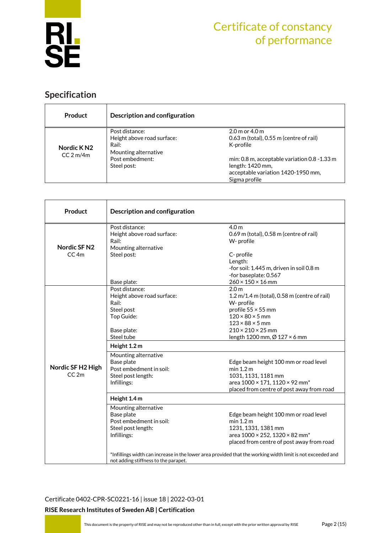

### **Specification**

| <b>Product</b>                                 | Description and configuration |                                              |  |  |
|------------------------------------------------|-------------------------------|----------------------------------------------|--|--|
|                                                | Post distance:                | $2.0$ m or $4.0$ m                           |  |  |
|                                                | Height above road surface:    | $0.63$ m (total), $0.55$ m (centre of rail)  |  |  |
| Nordic K <sub>N2</sub><br>CC <sub>2</sub> m/4m | Rail:                         | K-profile                                    |  |  |
|                                                | Mounting alternative          |                                              |  |  |
|                                                | Post embedment:               | min: 0.8 m, acceptable variation 0.8 -1.33 m |  |  |
|                                                | Steel post:                   | length: 1420 mm,                             |  |  |
|                                                |                               | acceptable variation 1420-1950 mm,           |  |  |
|                                                |                               | Sigma profile                                |  |  |

| Product                   | Description and configuration                                                                                      |                                                                                                                                                                                                                                                             |  |  |
|---------------------------|--------------------------------------------------------------------------------------------------------------------|-------------------------------------------------------------------------------------------------------------------------------------------------------------------------------------------------------------------------------------------------------------|--|--|
| <b>Nordic SF N2</b>       | Post distance:<br>Height above road surface:<br>Rail:<br>Mounting alternative                                      | 4.0 m<br>0.69 m (total), 0.58 m (centre of rail)<br>W- profile                                                                                                                                                                                              |  |  |
| CC <sub>4m</sub>          | Steel post:<br>Base plate:                                                                                         | C- profile<br>Length:<br>-for soil: 1.445 m, driven in soil 0.8 m<br>-for baseplate: 0.567<br>$260 \times 150 \times 16$ mm                                                                                                                                 |  |  |
| Nordic SF H2 High<br>CC2m | Post distance:<br>Height above road surface:<br>Rail:<br>Steel post<br>Top Guide:<br>Base plate:<br>Steel tube     | 2.0 <sub>m</sub><br>$1.2$ m/ $1.4$ m (total), 0.58 m (centre of rail)<br>W- profile<br>profile $55 \times 55$ mm<br>$120 \times 80 \times 5$ mm<br>$123 \times 88 \times 5$ mm<br>$210 \times 210 \times 25$ mm<br>length 1200 mm, $\varnothing$ 127 × 6 mm |  |  |
|                           | Height 1.2 m<br>Mounting alternative<br>Base plate<br>Post embedment in soil:<br>Steel post length:<br>Infillings: | Edge beam height 100 mm or road level<br>min 1.2 m<br>1031, 1131, 1181 mm<br>area 1000 × 171, 1120 × 92 mm <sup>*</sup><br>placed from centre of post away from road                                                                                        |  |  |
|                           | Height 1.4 m                                                                                                       |                                                                                                                                                                                                                                                             |  |  |
|                           | Mounting alternative<br>Base plate<br>Post embedment in soil:<br>Steel post length:<br>Infillings:                 | Edge beam height 100 mm or road level<br>min 1.2 m<br>1231, 1331, 1381 mm<br>area 1000 × 252, 1320 × 82 mm <sup>*</sup><br>placed from centre of post away from road                                                                                        |  |  |
|                           | not adding stiffness to the parapet.                                                                               | *Infillings width can increase in the lower area provided that the working width limit is not exceeded and                                                                                                                                                  |  |  |

[Certificate 0402-CPR-SC0221-16](#page-0-0) | issue 18 | 2022-03-01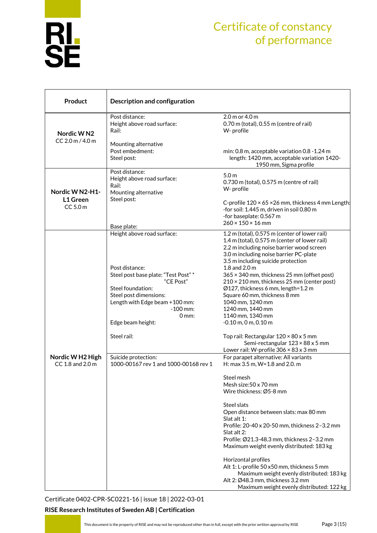

| <b>Product</b>                          | Description and configuration                                                                                                                                                                                                                              |                                                                                                                                                                                                                                                                                                                                                                                                                                                                                                                                                                                                                                       |  |
|-----------------------------------------|------------------------------------------------------------------------------------------------------------------------------------------------------------------------------------------------------------------------------------------------------------|---------------------------------------------------------------------------------------------------------------------------------------------------------------------------------------------------------------------------------------------------------------------------------------------------------------------------------------------------------------------------------------------------------------------------------------------------------------------------------------------------------------------------------------------------------------------------------------------------------------------------------------|--|
| Nordic WN2                              | Post distance:<br>Height above road surface:<br>Rail:                                                                                                                                                                                                      | 2.0 m or 4.0 m<br>0.70 m (total), 0.55 m (centre of rail)<br>W- profile                                                                                                                                                                                                                                                                                                                                                                                                                                                                                                                                                               |  |
| CC 2.0 m / 4.0 m                        | Mounting alternative<br>Post embedment:<br>Steel post:                                                                                                                                                                                                     | min: 0.8 m, acceptable variation 0.8 -1.24 m<br>length: 1420 mm, acceptable variation 1420-<br>1950 mm, Sigma profile                                                                                                                                                                                                                                                                                                                                                                                                                                                                                                                 |  |
| Nordic W N2-H1-<br>L1 Green<br>CC 5.0 m | Post distance:<br>Height above road surface:<br>Rail:<br>Mounting alternative<br>Steel post:<br>Base plate:                                                                                                                                                | 5.0 <sub>m</sub><br>0.730 m (total), 0.575 m (centre of rail)<br>W- profile<br>C-profile 120 × 65 × 26 mm, thickness 4 mm Length!<br>-for soil: 1.445 m, driven in soil 0.80 m<br>-for baseplate: 0.567 m<br>$260 \times 150 \times 16$ mm                                                                                                                                                                                                                                                                                                                                                                                            |  |
|                                         | Height above road surface:<br>Post distance:<br>Steel post base plate: "Test Post" *<br>"CE Post"<br>Steel foundation:<br>Steel post dimensions:<br>Length with Edge beam +100 mm:<br>$-100$ mm:<br>$0 \, \text{mm}$ :<br>Edge beam height:<br>Steel rail: | 1.2 m (total), 0.575 m (center of lower rail)<br>1.4 m (total), 0.575 m (center of lower rail)<br>2.2 m including noise barrier wood screen<br>3.0 m including noise barrier PC-plate<br>3.5 m including suicide protection<br>1.8 and $2.0 \text{ m}$<br>365 × 340 mm, thickness 25 mm (offset post)<br>210 × 210 mm, thickness 25 mm (center post)<br>Ø127, thickness 6 mm, length=1.2 m<br>Square 60 mm, thickness 8 mm<br>1040 mm, 1240 mm<br>1240 mm, 1440 mm<br>1140 mm, 1340 mm<br>$-0.10$ m, 0 m, 0.10 m<br>Top rail: Rectangular 120 × 80 x 5 mm<br>Semi-rectangular 123 × 88 x 5 mm                                         |  |
| Nordic W H2 High<br>CC 1.8 and 2.0 m    | Suicide protection:<br>1000-00167 rev 1 and 1000-00168 rev 1                                                                                                                                                                                               | Lower rail: W-profile $306 \times 83 \times 3$ mm<br>For parapet alternative: All variants<br>H: max 3.5 m, W=1.8 and 2.0. m<br>Steel mesh<br>Mesh size: 50 x 70 mm<br>Wire thickness: Ø5-8 mm<br>Steel slats<br>Open distance between slats: max 80 mm<br>Slat alt 1:<br>Profile: 20-40 x 20-50 mm, thickness 2-3.2 mm<br>Slat alt 2:<br>Profile: Ø21.3-48.3 mm, thickness 2-3.2 mm<br>Maximum weight evenly distributed: 183 kg<br>Horizontal profiles<br>Alt 1: L-profile 50 x50 mm, thickness 5 mm<br>Maximum weight evenly distributed: 183 kg<br>Alt 2: Ø48.3 mm, thickness 3.2 mm<br>Maximum weight evenly distributed: 122 kg |  |

[Certificate 0402-CPR-SC0221-16](#page-0-0) | issue 18 | 2022-03-01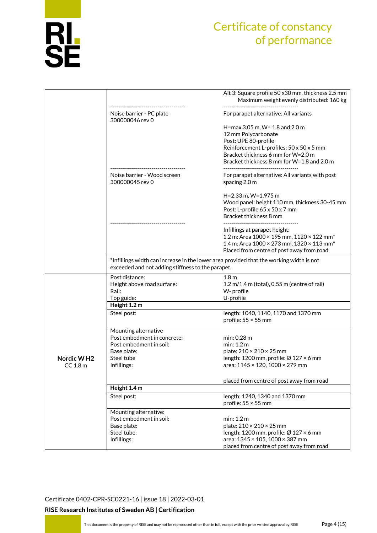

|                        |                                                   | Alt 3: Square profile 50 x30 mm, thickness 2.5 mm<br>Maximum weight evenly distributed: 160 kg                                             |
|------------------------|---------------------------------------------------|--------------------------------------------------------------------------------------------------------------------------------------------|
|                        | Noise barrier - PC plate<br>300000046 rev 0       | For parapet alternative: All variants                                                                                                      |
|                        |                                                   | H=max 3.05 m, W= 1.8 and 2.0 m                                                                                                             |
|                        |                                                   | 12 mm Polycarbonate                                                                                                                        |
|                        |                                                   | Post: UPE 80-profile                                                                                                                       |
|                        |                                                   | Reinforcement L-profiles: 50 x 50 x 5 mm                                                                                                   |
|                        |                                                   | Bracket thickness 6 mm for W=2.0 m                                                                                                         |
|                        |                                                   | Bracket thickness 8 mm for W=1.8 and 2.0 m                                                                                                 |
|                        |                                                   |                                                                                                                                            |
|                        | Noise barrier - Wood screen                       | For parapet alternative: All variants with post                                                                                            |
|                        | 300000045 rev 0                                   | spacing 2.0 m                                                                                                                              |
|                        |                                                   |                                                                                                                                            |
|                        |                                                   | H=2.33 m, W=1.975 m                                                                                                                        |
|                        |                                                   | Wood panel: height 110 mm, thickness 30-45 mm                                                                                              |
|                        |                                                   | Post: L-profile 65 x 50 x 7 mm                                                                                                             |
|                        |                                                   | Bracket thickness 8 mm                                                                                                                     |
|                        |                                                   |                                                                                                                                            |
|                        |                                                   | Infillings at parapet height:                                                                                                              |
|                        |                                                   | 1.2 m: Area $1000 \times 195$ mm, $1120 \times 122$ mm <sup>*</sup><br>1.4 m: Area $1000 \times 273$ mm, $1320 \times 113$ mm <sup>*</sup> |
|                        |                                                   |                                                                                                                                            |
|                        |                                                   | Placed from centre of post away from road                                                                                                  |
|                        | exceeded and not adding stiffness to the parapet. | *Infillings width can increase in the lower area provided that the working width is not                                                    |
|                        | Post distance:                                    | 1.8 <sub>m</sub>                                                                                                                           |
|                        | Height above road surface:                        | $1.2$ m/1.4 m (total), 0.55 m (centre of rail)                                                                                             |
|                        | Rail:                                             | W- profile                                                                                                                                 |
|                        | Top guide:                                        | U-profile                                                                                                                                  |
|                        | Height 1.2 m                                      |                                                                                                                                            |
|                        | Steel post:                                       | length: 1040, 1140, 1170 and 1370 mm                                                                                                       |
|                        |                                                   | profile: $55 \times 55$ mm                                                                                                                 |
|                        | Mounting alternative                              |                                                                                                                                            |
|                        | Post embedment in concrete:                       | min: 0.28 m                                                                                                                                |
|                        | Post embedment in soil:                           | min: 1.2 m                                                                                                                                 |
|                        | Base plate:                                       | plate: 210 × 210 × 25 mm                                                                                                                   |
| Nordic W <sub>H2</sub> | Steel tube                                        | length: 1200 mm, profile: Ø 127 × 6 mm                                                                                                     |
| $CC$ 1.8 $m$           | Infillings:                                       | area: $1145 \times 120$ , $1000 \times 279$ mm                                                                                             |
|                        |                                                   |                                                                                                                                            |
|                        |                                                   | placed from centre of post away from road                                                                                                  |
|                        | Height 1.4 m                                      |                                                                                                                                            |
|                        | Steel post:                                       | length: 1240, 1340 and 1370 mm                                                                                                             |
|                        |                                                   | profile: $55 \times 55$ mm                                                                                                                 |
|                        | Mounting alternative:                             |                                                                                                                                            |
|                        | Post embedment in soil:                           | min: 1.2 m                                                                                                                                 |
|                        | Base plate:                                       | plate: $210 \times 210 \times 25$ mm                                                                                                       |
|                        | Steel tube:                                       | length: 1200 mm, profile: $\varnothing$ 127 × 6 mm                                                                                         |
|                        | Infillings:                                       | area: 1345 × 105, 1000 × 387 mm                                                                                                            |
|                        |                                                   | placed from centre of post away from road                                                                                                  |

[Certificate 0402-CPR-SC0221-16](#page-0-0) | issue 18 | 2022-03-01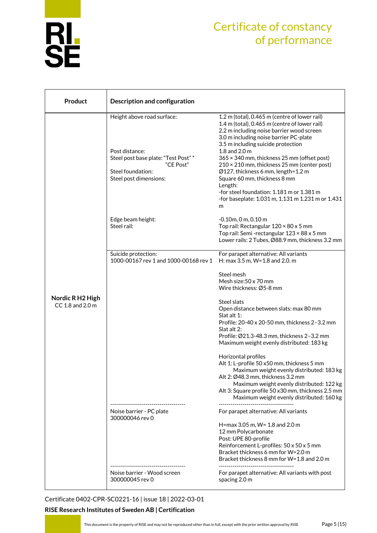

| <b>Product</b>                       | Description and configuration                                                                                                                    |                                                                                                                                                                                                                                                                                                                                                                                                                                                                                                                                    |  |  |  |
|--------------------------------------|--------------------------------------------------------------------------------------------------------------------------------------------------|------------------------------------------------------------------------------------------------------------------------------------------------------------------------------------------------------------------------------------------------------------------------------------------------------------------------------------------------------------------------------------------------------------------------------------------------------------------------------------------------------------------------------------|--|--|--|
|                                      | Height above road surface:<br>Post distance:<br>Steel post base plate: "Test Post" *<br>"CE Post"<br>Steel foundation:<br>Steel post dimensions: | 1.2 m (total), 0.465 m (centre of lower rail)<br>1.4 m (total), 0.465 m (centre of lower rail)<br>2.2 m including noise barrier wood screen<br>3.0 m including noise barrier PC-plate<br>3.5 m including suicide protection<br>1.8 and 2.0 m<br>365 × 340 mm, thickness 25 mm (offset post)<br>210 × 210 mm, thickness 25 mm (center post)<br>Ø127, thickness 6 mm, length=1.2 m<br>Square 60 mm, thickness 8 mm<br>Length:<br>-for steel foundation: 1.181 m or 1.381 m<br>-for baseplate: 1.031 m, 1.131 m 1.231 m or 1.431<br>m |  |  |  |
|                                      | Edge beam height:<br>Steel rail:                                                                                                                 | $-0.10$ m, 0 m, 0.10 m<br>Top rail: Rectangular 120 × 80 x 5 mm<br>Top rail: Semi-rectangular 123 × 88 x 5 mm<br>Lower rails: 2 Tubes, Ø88.9 mm, thickness 3.2 mm                                                                                                                                                                                                                                                                                                                                                                  |  |  |  |
|                                      | Suicide protection:<br>1000-00167 rev 1 and 1000-00168 rev 1                                                                                     | For parapet alternative: All variants<br>H: max 3.5 m, W=1.8 and 2.0. m                                                                                                                                                                                                                                                                                                                                                                                                                                                            |  |  |  |
|                                      |                                                                                                                                                  | Steel mesh<br>Mesh size:50 x 70 mm<br>Wire thickness: Ø5-8 mm                                                                                                                                                                                                                                                                                                                                                                                                                                                                      |  |  |  |
| Nordic R H2 High<br>CC 1.8 and 2.0 m |                                                                                                                                                  | Steel slats<br>Open distance between slats: max 80 mm<br>Slat alt 1:<br>Profile: 20-40 x 20-50 mm, thickness 2-3.2 mm<br>Slat alt 2:<br>Profile: Ø21.3-48.3 mm, thickness 2-3.2 mm<br>Maximum weight evenly distributed: 183 kg                                                                                                                                                                                                                                                                                                    |  |  |  |
|                                      |                                                                                                                                                  | Horizontal profiles<br>Alt 1: L-profile 50 x50 mm, thickness 5 mm<br>Maximum weight evenly distributed: 183 kg<br>Alt 2: Ø48.3 mm, thickness 3.2 mm<br>Maximum weight evenly distributed: 122 kg<br>Alt 3: Square profile 50 x30 mm, thickness 2.5 mm<br>Maximum weight evenly distributed: 160 kg<br>--------------------------------------                                                                                                                                                                                       |  |  |  |
|                                      | Noise barrier - PC plate<br>300000046 rev 0                                                                                                      | For parapet alternative: All variants<br>H=max 3.05 m, W= 1.8 and 2.0 m<br>12 mm Polycarbonate<br>Post: UPE 80-profile<br>Reinforcement L-profiles: 50 x 50 x 5 mm<br>Bracket thickness 6 mm for W=2.0 m<br>Bracket thickness 8 mm for W=1.8 and 2.0 m                                                                                                                                                                                                                                                                             |  |  |  |
|                                      | Noise barrier - Wood screen<br>300000045 rev 0                                                                                                   | For parapet alternative: All variants with post<br>spacing 2.0 m                                                                                                                                                                                                                                                                                                                                                                                                                                                                   |  |  |  |

[Certificate 0402-CPR-SC0221-16](#page-0-0) | issue 18 | 2022-03-01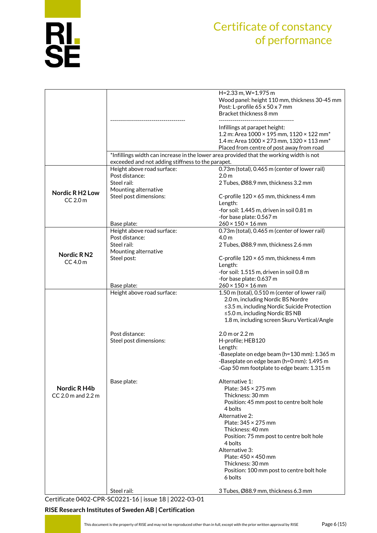

|                       |                                                                                         | H=2.33 m, W=1.975 m                                                 |  |  |  |  |
|-----------------------|-----------------------------------------------------------------------------------------|---------------------------------------------------------------------|--|--|--|--|
|                       |                                                                                         | Wood panel: height 110 mm, thickness 30-45 mm                       |  |  |  |  |
|                       |                                                                                         |                                                                     |  |  |  |  |
|                       |                                                                                         | Post: L-profile 65 x 50 x 7 mm                                      |  |  |  |  |
|                       |                                                                                         | Bracket thickness 8 mm                                              |  |  |  |  |
|                       |                                                                                         |                                                                     |  |  |  |  |
|                       |                                                                                         |                                                                     |  |  |  |  |
|                       |                                                                                         | Infillings at parapet height:                                       |  |  |  |  |
|                       |                                                                                         | 1.2 m: Area $1000 \times 195$ mm, $1120 \times 122$ mm <sup>*</sup> |  |  |  |  |
|                       |                                                                                         |                                                                     |  |  |  |  |
|                       |                                                                                         | 1.4 m: Area $1000 \times 273$ mm, $1320 \times 113$ mm <sup>*</sup> |  |  |  |  |
|                       |                                                                                         | Placed from centre of post away from road                           |  |  |  |  |
|                       | *Infillings width can increase in the lower area provided that the working width is not |                                                                     |  |  |  |  |
|                       | exceeded and not adding stiffness to the parapet.                                       |                                                                     |  |  |  |  |
|                       |                                                                                         |                                                                     |  |  |  |  |
|                       | Height above road surface:                                                              | 0.73m (total), 0.465 m (center of lower rail)                       |  |  |  |  |
|                       | Post distance:                                                                          | 2.0 <sub>m</sub>                                                    |  |  |  |  |
|                       | Steel rail:                                                                             | 2 Tubes, Ø88.9 mm, thickness 3.2 mm                                 |  |  |  |  |
|                       |                                                                                         |                                                                     |  |  |  |  |
| <b>Nordic RH2 Low</b> | Mounting alternative                                                                    |                                                                     |  |  |  |  |
|                       | Steel post dimensions:                                                                  | C-profile $120 \times 65$ mm, thickness 4 mm                        |  |  |  |  |
| $CC$ 2.0 $m$          |                                                                                         | Length:                                                             |  |  |  |  |
|                       |                                                                                         |                                                                     |  |  |  |  |
|                       |                                                                                         | -for soil: 1.445 m, driven in soil 0.81 m                           |  |  |  |  |
|                       |                                                                                         | -for base plate: 0.567 m                                            |  |  |  |  |
|                       | Base plate:                                                                             | $260 \times 150 \times 16$ mm                                       |  |  |  |  |
|                       |                                                                                         |                                                                     |  |  |  |  |
|                       | Height above road surface:                                                              | 0.73m (total), 0.465 m (center of lower rail)                       |  |  |  |  |
|                       | Post distance:                                                                          | 4.0 <sub>m</sub>                                                    |  |  |  |  |
|                       | Steel rail:                                                                             | 2 Tubes, Ø88.9 mm, thickness 2.6 mm                                 |  |  |  |  |
|                       | Mounting alternative                                                                    |                                                                     |  |  |  |  |
| Nordic RN2            |                                                                                         |                                                                     |  |  |  |  |
| $CC$ 4.0 m            | Steel post:                                                                             | C-profile 120 × 65 mm, thickness 4 mm                               |  |  |  |  |
|                       |                                                                                         | Length:                                                             |  |  |  |  |
|                       |                                                                                         | -for soil: 1.515 m, driven in soil 0.8 m                            |  |  |  |  |
|                       |                                                                                         |                                                                     |  |  |  |  |
|                       |                                                                                         | -for base plate: 0.637 m                                            |  |  |  |  |
|                       | Base plate:                                                                             | $260 \times 150 \times 16$ mm                                       |  |  |  |  |
|                       | Height above road surface:                                                              | 1.50 m (total), 0.510 m (center of lower rail)                      |  |  |  |  |
|                       |                                                                                         | 2.0 m, including Nordic BS Nordre                                   |  |  |  |  |
|                       |                                                                                         |                                                                     |  |  |  |  |
|                       |                                                                                         |                                                                     |  |  |  |  |
|                       |                                                                                         | ≤3.5 m, including Nordic Suicide Protection                         |  |  |  |  |
|                       |                                                                                         |                                                                     |  |  |  |  |
|                       |                                                                                         | ≤5.0 m, including Nordic BS NB                                      |  |  |  |  |
|                       |                                                                                         | 1.8 m, including screen Skuru Vertical/Angle                        |  |  |  |  |
|                       |                                                                                         |                                                                     |  |  |  |  |
|                       | Post distance:                                                                          | 2.0 m or 2.2 m                                                      |  |  |  |  |
|                       |                                                                                         |                                                                     |  |  |  |  |
|                       | Steel post dimensions:                                                                  | H-profile; HEB120                                                   |  |  |  |  |
|                       |                                                                                         | Length:                                                             |  |  |  |  |
|                       |                                                                                         | -Baseplate on edge beam (h=130 mm): 1.365 m                         |  |  |  |  |
|                       |                                                                                         |                                                                     |  |  |  |  |
|                       |                                                                                         | -Baseplate on edge beam (h=0 mm): 1.495 m                           |  |  |  |  |
|                       |                                                                                         | -Gap 50 mm footplate to edge beam: 1.315 m                          |  |  |  |  |
|                       |                                                                                         |                                                                     |  |  |  |  |
|                       | Base plate:                                                                             | Alternative 1:                                                      |  |  |  |  |
|                       |                                                                                         |                                                                     |  |  |  |  |
| Nordic R H4b          |                                                                                         | Plate: 345 × 275 mm                                                 |  |  |  |  |
| $CC$ 2.0 m and 2.2 m  |                                                                                         | Thickness: 30 mm                                                    |  |  |  |  |
|                       |                                                                                         | Position: 45 mm post to centre bolt hole                            |  |  |  |  |
|                       |                                                                                         | 4 bolts                                                             |  |  |  |  |
|                       |                                                                                         |                                                                     |  |  |  |  |
|                       |                                                                                         | Alternative 2:                                                      |  |  |  |  |
|                       |                                                                                         | Plate: 345 × 275 mm                                                 |  |  |  |  |
|                       |                                                                                         | Thickness: 40 mm                                                    |  |  |  |  |
|                       |                                                                                         |                                                                     |  |  |  |  |
|                       |                                                                                         | Position: 75 mm post to centre bolt hole                            |  |  |  |  |
|                       |                                                                                         | 4 bolts                                                             |  |  |  |  |
|                       |                                                                                         | Alternative 3:                                                      |  |  |  |  |
|                       |                                                                                         | Plate: 450 × 450 mm                                                 |  |  |  |  |
|                       |                                                                                         |                                                                     |  |  |  |  |
|                       |                                                                                         | Thickness: 30 mm                                                    |  |  |  |  |
|                       |                                                                                         | Position: 100 mm post to centre bolt hole                           |  |  |  |  |
|                       |                                                                                         | 6 bolts                                                             |  |  |  |  |
|                       |                                                                                         |                                                                     |  |  |  |  |

[Certificate 0402-CPR-SC0221-16](#page-0-0) | issue 18 | 2022-03-01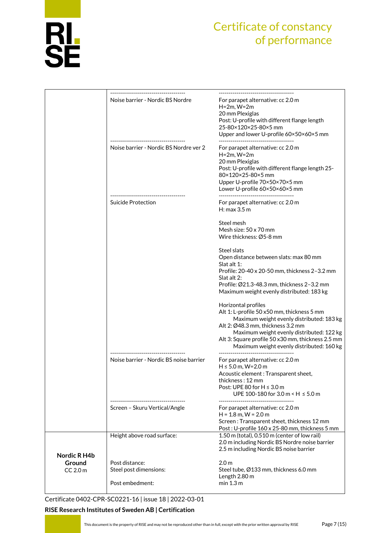

|                                        | Noise barrier - Nordic BS Nordre                            | For parapet alternative: cc 2.0 m<br>$H=2m$ , $W=2m$<br>20 mm Plexiglas<br>Post: U-profile with different flange length<br>25-80×120×25-80×5 mm<br>Upper and lower U-profile 60×50×60×5 mm                                                                                                         |
|----------------------------------------|-------------------------------------------------------------|----------------------------------------------------------------------------------------------------------------------------------------------------------------------------------------------------------------------------------------------------------------------------------------------------|
|                                        | Noise barrier - Nordic BS Nordre ver 2                      | For parapet alternative: cc 2.0 m<br>$H=2m$ , $W=2m$<br>20 mm Plexiglas<br>Post: U-profile with different flange length 25-<br>80×120×25-80×5 mm<br>Upper U-profile 70×50×70×5 mm<br>Lower U-profile 60×50×60×5 mm<br>--------------------------------                                             |
|                                        | Suicide Protection                                          | For parapet alternative: cc 2.0 m<br>H: max 3.5 m                                                                                                                                                                                                                                                  |
|                                        |                                                             | Steel mesh<br>Mesh size: 50 x 70 mm<br>Wire thickness: Ø5-8 mm                                                                                                                                                                                                                                     |
|                                        |                                                             | Steel slats<br>Open distance between slats: max 80 mm<br>Slat alt 1:<br>Profile: 20-40 x 20-50 mm, thickness 2-3.2 mm<br>Slat alt 2:<br>Profile: Ø21.3-48.3 mm, thickness 2-3.2 mm<br>Maximum weight evenly distributed: 183 kg                                                                    |
|                                        |                                                             | Horizontal profiles<br>Alt 1: L-profile 50 x50 mm, thickness 5 mm<br>Maximum weight evenly distributed: 183 kg<br>Alt 2: Ø48.3 mm, thickness 3.2 mm<br>Maximum weight evenly distributed: 122 kg<br>Alt 3: Square profile 50 x30 mm, thickness 2.5 mm<br>Maximum weight evenly distributed: 160 kg |
|                                        | Noise barrier - Nordic BS noise barrier                     | For parapet alternative: cc 2.0 m<br>$H \le 5.0$ m, W=2.0 m<br>Acoustic element : Transparent sheet,<br>thickness: 12 mm<br>Post: UPE 80 for H ≤ 3.0 m<br>UPE 100-180 for 3.0 m < H ≤ 5.0 m                                                                                                        |
|                                        | Screen - Skuru Vertical/Angle                               | For parapet alternative: cc 2.0 m<br>$H = 1.8$ m, $W = 2.0$ m<br>Screen: Transparent sheet, thickness 12 mm<br>Post: U-profile 160 x 25-80 mm, thickness 5 mm                                                                                                                                      |
|                                        | Height above road surface:                                  | 1.50 m (total), 0.510 m (center of low rail)<br>2.0 m including Nordic BS Nordre noise barrier<br>2.5 m including Nordic BS noise barrier                                                                                                                                                          |
| Nordic R H4b<br>Ground<br>$CC$ 2.0 $m$ | Post distance:<br>Steel post dimensions:<br>Post embedment: | 2.0 <sub>m</sub><br>Steel tube, Ø133 mm, thickness 6.0 mm<br>Length 2.80 m<br>min 1.3 m                                                                                                                                                                                                            |

[Certificate 0402-CPR-SC0221-16](#page-0-0) | issue 18 | 2022-03-01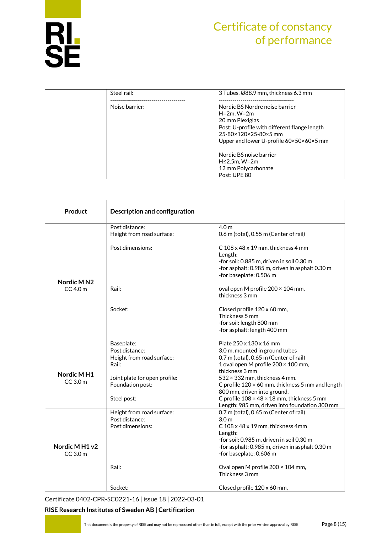

| Steel rail:    | 3 Tubes, Ø88.9 mm, thickness 6.3 mm                                                                                                                                                         |
|----------------|---------------------------------------------------------------------------------------------------------------------------------------------------------------------------------------------|
| Noise barrier: | <br>Nordic BS Nordre noise barrier<br>$H=2m$ , $W=2m$<br>20 mm Plexiglas<br>Post: U-profile with different flange length<br>25-80×120×25-80×5 mm<br>Upper and lower U-profile 60×50×60×5 mm |
|                | Nordic BS noise barrier<br>$H \leq 2.5$ m, W=2m<br>12 mm Polycarbonate<br>Post: UPE 80                                                                                                      |

| Product                              | <b>Description and configuration</b>                                                                      |                                                                                                                                                                                                                                                              |  |  |  |
|--------------------------------------|-----------------------------------------------------------------------------------------------------------|--------------------------------------------------------------------------------------------------------------------------------------------------------------------------------------------------------------------------------------------------------------|--|--|--|
|                                      | Post distance:<br>Height from road surface:                                                               | 4.0 <sub>m</sub><br>0.6 m (total), 0.55 m (Center of rail)                                                                                                                                                                                                   |  |  |  |
|                                      | Post dimensions:                                                                                          | C 108 x 48 x 19 mm, thickness 4 mm<br>Length:<br>-for soil: 0.885 m, driven in soil 0.30 m<br>-for asphalt: 0.985 m, driven in asphalt 0.30 m<br>-for baseplate: 0.506 m                                                                                     |  |  |  |
| Nordic M <sub>N2</sub><br>$CC$ 4.0 m | Rail:                                                                                                     | oval open M profile 200 × 104 mm,<br>thickness 3 mm                                                                                                                                                                                                          |  |  |  |
|                                      | Socket:                                                                                                   | Closed profile 120 x 60 mm,<br>Thickness 5 mm<br>-for soil: length 800 mm<br>-for asphalt: length 400 mm                                                                                                                                                     |  |  |  |
|                                      | Baseplate:                                                                                                | Plate 250 x 130 x 16 mm                                                                                                                                                                                                                                      |  |  |  |
| Nordic MH1<br>$CC$ 3.0 $m$           | Post distance:<br>Height from road surface:<br>Rail:<br>Joint plate for open profile:<br>Foundation post: | 3.0 m, mounted in ground tubes<br>0.7 m (total), 0.65 m (Center of rail)<br>1 oval open M profile 200 × 100 mm,<br>thickness 3 mm<br>$532 \times 332$ mm, thickness 4 mm.<br>C profile 120 × 60 mm, thickness 5 mm and length<br>800 mm, driven into ground. |  |  |  |
|                                      | Steel post:                                                                                               | C profile $108 \times 48 \times 18$ mm, thickness 5 mm<br>Length: 985 mm, driven into foundation 300 mm.                                                                                                                                                     |  |  |  |
| Nordic MH1 v2<br>$CC$ 3.0 $m$        | Height from road surface:<br>Post distance:<br>Post dimensions:                                           | 0.7 m (total), 0.65 m (Center of rail)<br>3.0 <sub>m</sub><br>C 108 x 48 x 19 mm, thickness 4mm<br>Length:<br>-for soil: 0.985 m, driven in soil 0.30 m<br>-for asphalt: 0.985 m, driven in asphalt 0.30 m<br>-for baseplate: 0.606 m                        |  |  |  |
|                                      | Rail:                                                                                                     | Oval open M profile $200 \times 104$ mm,<br>Thickness 3 mm                                                                                                                                                                                                   |  |  |  |
|                                      | Socket:                                                                                                   | Closed profile 120 x 60 mm,                                                                                                                                                                                                                                  |  |  |  |

[Certificate 0402-CPR-SC0221-16](#page-0-0) | issue 18 | 2022-03-01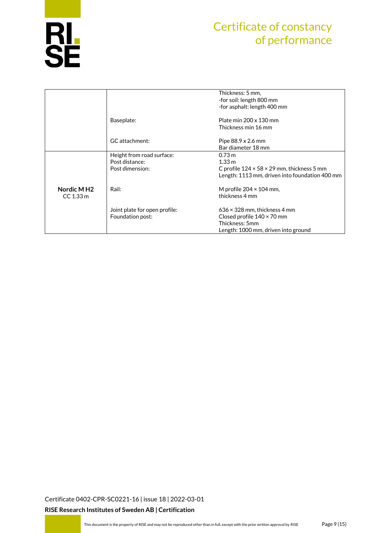

|                        |                               | Thickness: 5 mm,                                       |
|------------------------|-------------------------------|--------------------------------------------------------|
|                        |                               | -for soil: length 800 mm                               |
|                        |                               | -for asphalt: length 400 mm                            |
|                        |                               |                                                        |
|                        | Baseplate:                    | Plate min $200 \times 130$ mm                          |
|                        |                               | Thickness min 16 mm                                    |
|                        | GC attachment:                | Pipe $88.9 \times 2.6$ mm                              |
|                        |                               | Bar diameter 18 mm                                     |
|                        |                               |                                                        |
|                        | Height from road surface:     | 0.73 m                                                 |
|                        | Post distance:                | 1.33 m                                                 |
|                        | Post dimension:               | C profile $124 \times 58 \times 29$ mm, thickness 5 mm |
|                        |                               | Length: 1113 mm, driven into foundation 400 mm         |
| Nordic MH <sub>2</sub> | Rail:                         | M profile $204 \times 104$ mm,                         |
|                        |                               | thickness 4 mm                                         |
| $CC$ 1.33 $m$          |                               |                                                        |
|                        | Joint plate for open profile: | $636 \times 328$ mm, thickness 4 mm                    |
|                        | Foundation post:              | Closed profile $140 \times 70$ mm                      |
|                        |                               | Thickness: 5mm                                         |
|                        |                               | Length: 1000 mm, driven into ground                    |
|                        |                               |                                                        |

[Certificate 0402-CPR-SC0221-16](#page-0-0) | issue 18 | 2022-03-01 **RISE Research Institutes of Sweden AB | Certification**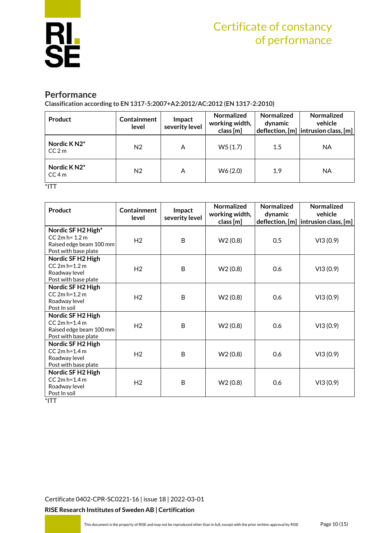

#### **Performance**

**Classification according to EN 1317-5:2007+A2:2012/AC:2012 (EN 1317-2:2010)**

| Product                                       | Containment<br>level | Impact<br>severity level | Normalized<br>working width,<br>class [m] | <b>Normalized</b><br>dynamic | Normalized<br>vehicle<br>$ $ deflection, $[m]$ $ $ intrusion class, $[m]$ |
|-----------------------------------------------|----------------------|--------------------------|-------------------------------------------|------------------------------|---------------------------------------------------------------------------|
| Nordic KN2*<br>CC <sub>2m</sub>               | N <sub>2</sub>       | A                        | W5(1.7)                                   | $1.5\,$                      | ΝA                                                                        |
| Nordic KN2*<br>CC <sub>4m</sub><br>$\sim$ $-$ | N <sub>2</sub>       | А                        | W6 (2.0)                                  | 1.9                          | ΝA                                                                        |

\*ITT

| Product                                                                                    | Containment<br>level | Impact<br>severity level | <b>Normalized</b><br>working width,<br>class [m] | <b>Normalized</b><br>dynamic | <b>Normalized</b><br>vehicle<br>deflection, $[m]$ intrusion class, $[m]$ |
|--------------------------------------------------------------------------------------------|----------------------|--------------------------|--------------------------------------------------|------------------------------|--------------------------------------------------------------------------|
| Nordic SF H2 High*<br>$CC 2m h = 1.2 m$<br>Raised edge beam 100 mm<br>Post with base plate | H <sub>2</sub>       | B                        | W2(0.8)                                          | 0.5                          | VI3(0.9)                                                                 |
| Nordic SF H2 High<br>$CC 2m h=1.2 m$<br>Roadway level<br>Post with base plate              | H <sub>2</sub>       | B                        | W2(0.8)                                          | 0.6                          | VI3(0.9)                                                                 |
| Nordic SF H2 High<br>CC 2m h=1.2 m<br>Roadway level<br>Post In soil                        | H <sub>2</sub>       | B                        | W2(0.8)                                          | 0.6                          | VI3(0.9)                                                                 |
| Nordic SF H2 High<br>$CC 2m h=1.4 m$<br>Raised edge beam 100 mm<br>Post with base plate    | H <sub>2</sub>       | B                        | W2(0.8)                                          | 0.6                          | VI3(0.9)                                                                 |
| Nordic SF H2 High<br>$CC 2m h=1.4 m$<br>Roadway level<br>Post with base plate              | H <sub>2</sub>       | B                        | W2(0.8)                                          | 0.6                          | VI3(0.9)                                                                 |
| Nordic SF H2 High<br>$CC 2m h=1.4 m$<br>Roadway level<br>Post In soil<br>$*$ $ -$          | H <sub>2</sub>       | B                        | W2(0.8)                                          | 0.6                          | VI3(0.9)                                                                 |

\*ITT

[Certificate 0402-CPR-SC0221-16](#page-0-0) | issue 18 | 2022-03-01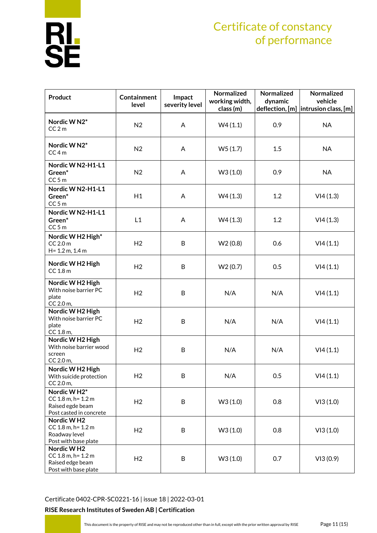# **RL<br>SE**

## Certificate of constancy of performance

| Product                                                                               | <b>Containment</b><br>level | Impact<br>severity level | Normalized<br>working width,<br>class (m) | Normalized<br>dynamic | Normalized<br>vehicle<br>deflection, [m]  intrusion class, [m] |
|---------------------------------------------------------------------------------------|-----------------------------|--------------------------|-------------------------------------------|-----------------------|----------------------------------------------------------------|
| Nordic W <sub>N2</sub> *<br>CC <sub>2m</sub>                                          | N <sub>2</sub>              | A                        | W4(1.1)                                   | 0.9                   | <b>NA</b>                                                      |
| Nordic W N2*<br>$CC4$ m                                                               | N <sub>2</sub>              | A                        | W5(1.7)                                   | 1.5                   | <b>NA</b>                                                      |
| Nordic W N2-H1-L1<br>Green*<br>$CC5$ m                                                | N <sub>2</sub>              | A                        | W3(1.0)                                   | 0.9                   | <b>NA</b>                                                      |
| Nordic W N2-H1-L1<br>Green*<br>$CC5$ m                                                | H1                          | A                        | W4(1.3)                                   | 1.2                   | VI4(1.3)                                                       |
| Nordic W N2-H1-L1<br>Green*<br>$CC5$ m                                                | L1                          | A                        | W4(1.3)                                   | 1.2                   | VI4(1.3)                                                       |
| Nordic W H2 High*<br>$CC$ 2.0 $m$<br>H= 1.2 m, 1.4 m                                  | H <sub>2</sub>              | B                        | W2(0.8)                                   | 0.6                   | VI4(1.1)                                                       |
| Nordic W H2 High<br>$CC$ 1.8 $m$                                                      | H <sub>2</sub>              | B                        | W2(0.7)                                   | 0.5                   | VI4(1.1)                                                       |
| Nordic W H2 High<br>With noise barrier PC<br>plate<br>CC 2.0 m,                       | H <sub>2</sub>              | B                        | N/A                                       | N/A                   | VI4(1.1)                                                       |
| Nordic W H2 High<br>With noise barrier PC<br>plate<br>CC 1.8 m,                       | H <sub>2</sub>              | B                        | N/A                                       | N/A                   | VI4(1.1)                                                       |
| Nordic W H2 High<br>With noise barrier wood<br>screen<br>CC 2.0 m,                    | H <sub>2</sub>              | B                        | N/A                                       | N/A                   | VI4(1.1)                                                       |
| Nordic W H2 High<br>With suicide protection<br>CC 2.0 m,                              | H2                          | B                        | N/A                                       | 0.5                   | VI4(1.1)                                                       |
| Nordic WH2*<br>CC 1.8 m, h= 1.2 m<br>Raised egde beam<br>Post casted in concrete      | H <sub>2</sub>              | B                        | W3(1.0)                                   | 0.8                   | VI3(1.0)                                                       |
| Nordic WH <sub>2</sub><br>CC 1.8 m, h= 1.2 m<br>Roadway level<br>Post with base plate | H2                          | B                        | W3(1.0)                                   | 0.8                   | VI3(1.0)                                                       |
| Nordic WH2<br>CC 1.8 m, h= 1.2 m<br>Raised edge beam<br>Post with base plate          | H <sub>2</sub>              | B                        | W3(1.0)                                   | 0.7                   | VI3(0.9)                                                       |

[Certificate 0402-CPR-SC0221-16](#page-0-0) | issue 18 | 2022-03-01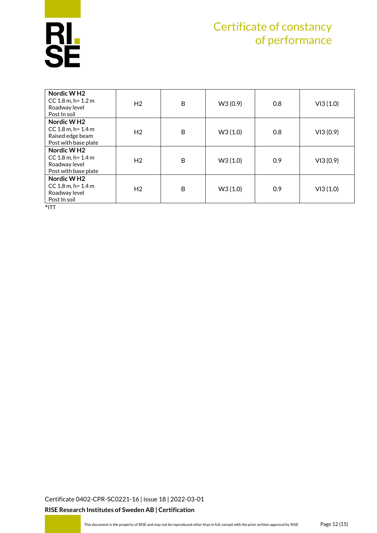

| Nordic WH <sub>2</sub><br>$CC$ 1.8 m, h= 1.2 m<br>Roadway level<br>Post In soil              | H <sub>2</sub> | B | W3 (0.9) | 0.8 | VI3(1.0) |
|----------------------------------------------------------------------------------------------|----------------|---|----------|-----|----------|
| Nordic W <sub>H2</sub><br>CC $1.8$ m, h= $1.4$ m<br>Raised edge beam<br>Post with base plate | H <sub>2</sub> | B | W3(1.0)  | 0.8 | VI3(0.9) |
| Nordic W <sub>H2</sub><br>CC $1.8$ m, h= $1.4$ m<br>Roadway level<br>Post with base plate    | H <sub>2</sub> | B | W3(1.0)  | 0.9 | VI3(0.9) |
| Nordic W <sub>H2</sub><br>CC $1.8$ m, h= $1.4$ m<br>Roadway level<br>Post In soil            | H <sub>2</sub> | B | W3(1.0)  | 0.9 | VI3(1.0) |

 $*$ ITT

[Certificate 0402-CPR-SC0221-16](#page-0-0) | issue 18 | 2022-03-01 **RISE Research Institutes of Sweden AB | Certification**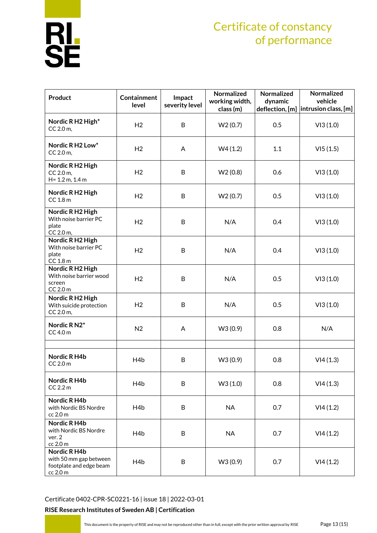# **RL<br>SE**

## Certificate of constancy of performance

| Product                                                                       | <b>Containment</b><br>level | Impact<br>severity level | Normalized<br>working width,<br>class (m) | Normalized<br>dynamic | Normalized<br>vehicle<br>deflection, [m]  intrusion class, [m] |
|-------------------------------------------------------------------------------|-----------------------------|--------------------------|-------------------------------------------|-----------------------|----------------------------------------------------------------|
| Nordic R H2 High*<br>CC 2.0 m,                                                | H <sub>2</sub>              | B                        | W2(0.7)                                   | 0.5                   | VI3(1.0)                                                       |
| Nordic R H2 Low*<br>CC 2.0 m,                                                 | H <sub>2</sub>              | A                        | W4(1.2)                                   | 1.1                   | VI5(1.5)                                                       |
| Nordic R H2 High<br>CC 2.0 m,<br>H= 1.2 m, 1.4 m                              | H <sub>2</sub>              | B                        | W2(0.8)                                   | 0.6                   | VI3(1.0)                                                       |
| Nordic R H2 High<br>$CC$ 1.8 $m$                                              | H <sub>2</sub>              | B                        | W2(0.7)                                   | 0.5                   | VI3(1.0)                                                       |
| Nordic R H2 High<br>With noise barrier PC<br>plate<br>CC 2.0 m,               | H <sub>2</sub>              | B                        | N/A                                       | 0.4                   | VI3(1.0)                                                       |
| Nordic R H2 High<br>With noise barrier PC<br>plate<br>CC 1.8 m                | H <sub>2</sub>              | B                        | N/A                                       | 0.4                   | VI3(1.0)                                                       |
| Nordic R H2 High<br>With noise barrier wood<br>screen<br>$CC$ 2.0 $m$         | H <sub>2</sub>              | B                        | N/A                                       | 0.5                   | VI3(1.0)                                                       |
| Nordic R H2 High<br>With suicide protection<br>CC 2.0 m,                      | H <sub>2</sub>              | B                        | N/A                                       | 0.5                   | VI3(1.0)                                                       |
| Nordic R N2*<br>$CC$ 4.0 $m$                                                  | N <sub>2</sub>              | A                        | W3 (0.9)                                  | 0.8                   | N/A                                                            |
| Nordic R H4b<br>$CC$ 2.0 $m$                                                  | H <sub>4</sub> b            | B                        | W3 (0.9)                                  | 0.8                   | VI4(1.3)                                                       |
| Nordic R H4b<br>$CC$ 2.2 $m$                                                  | H <sub>4</sub> b            | B                        | W3(1.0)                                   | 0.8                   | VI4(1.3)                                                       |
| Nordic R H4b<br>with Nordic BS Nordre<br>cc 2.0 m                             | H4b                         | B                        | <b>NA</b>                                 | 0.7                   | VI4(1.2)                                                       |
| Nordic R H4b<br>with Nordic BS Nordre<br>ver. 2<br>cc 2.0 m                   | H <sub>4</sub> b            | B                        | <b>NA</b>                                 | 0.7                   | VI4(1.2)                                                       |
| Nordic R H4b<br>with 50 mm gap between<br>footplate and edge beam<br>cc 2.0 m | H4b                         | B                        | W3 (0.9)                                  | 0.7                   | VI4(1.2)                                                       |

[Certificate 0402-CPR-SC0221-16](#page-0-0) | issue 18 | 2022-03-01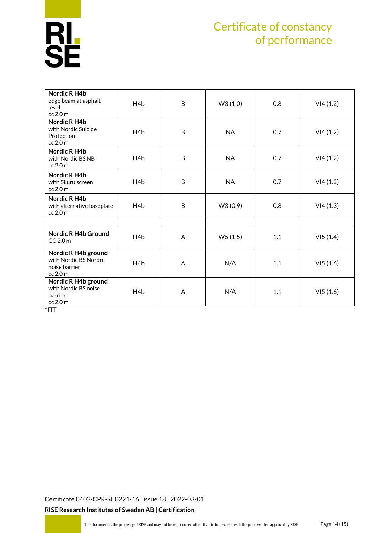

| Nordic R H4b<br>edge beam at asphalt<br>level<br>cc 2.0 m                 | H <sub>4</sub> b | B | W3(1.0)   | 0.8 | VI4(1.2) |
|---------------------------------------------------------------------------|------------------|---|-----------|-----|----------|
| Nordic R H4b<br>with Nordic Suicide<br>Protection<br>cc 2.0 m             | H <sub>4</sub> b | B | <b>NA</b> | 0.7 | VI4(1.2) |
| Nordic R H4b<br>with Nordic BS NB<br>cc 2.0 m                             | H <sub>4</sub> b | B | <b>NA</b> | 0.7 | VI4(1.2) |
| Nordic R H4b<br>with Skuru screen<br>cc 2.0 m                             | H <sub>4</sub> b | B | <b>NA</b> | 0.7 | VI4(1.2) |
| Nordic R H4b<br>with alternative baseplate<br>cc 2.0 m                    | H <sub>4</sub> b | B | W3 (0.9)  | 0.8 | VI4(1.3) |
|                                                                           |                  |   |           |     |          |
| <b>Nordic R H4b Ground</b><br>$CC$ 2.0 $m$                                | H4b              | A | W5(1.5)   | 1.1 | VI5(1.4) |
| Nordic R H4b ground<br>with Nordic BS Nordre<br>noise barrier<br>cc 2.0 m | H <sub>4</sub> b | A | N/A       | 1.1 | VI5(1.6) |
| Nordic R H4b ground<br>with Nordic BS noise<br>barrier<br>cc 2.0 m        | H <sub>4</sub> b | A | N/A       | 1.1 | VI5(1.6) |

 $*$ ITT

[Certificate 0402-CPR-SC0221-16](#page-0-0) | issue 18 | 2022-03-01